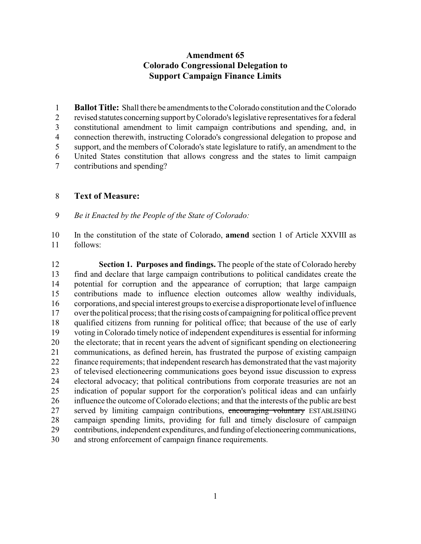## **Amendment 65 Colorado Congressional Delegation to Support Campaign Finance Limits**

 **Ballot Title:** Shall there be amendments to the Colorado constitution and the Colorado revised statutes concerning support byColorado's legislative representatives for a federal constitutional amendment to limit campaign contributions and spending, and, in connection therewith, instructing Colorado's congressional delegation to propose and support, and the members of Colorado's state legislature to ratify, an amendment to the United States constitution that allows congress and the states to limit campaign contributions and spending?

## **Text of Measure:**

*Be it Enacted by the People of the State of Colorado:*

 In the constitution of the state of Colorado, **amend** section 1 of Article XXVIII as follows:

 **Section 1. Purposes and findings.** The people of the state of Colorado hereby find and declare that large campaign contributions to political candidates create the potential for corruption and the appearance of corruption; that large campaign contributions made to influence election outcomes allow wealthy individuals, corporations, and special interest groups to exercise a disproportionate level of influence over the political process; that the rising costs of campaigning for political office prevent qualified citizens from running for political office; that because of the use of early voting in Colorado timely notice of independent expenditures is essential for informing the electorate; that in recent years the advent of significant spending on electioneering communications, as defined herein, has frustrated the purpose of existing campaign finance requirements; that independent research has demonstrated that the vast majority of televised electioneering communications goes beyond issue discussion to express electoral advocacy; that political contributions from corporate treasuries are not an indication of popular support for the corporation's political ideas and can unfairly influence the outcome of Colorado elections; and that the interests of the public are best 27 served by limiting campaign contributions, encouraging voluntary ESTABLISHING campaign spending limits, providing for full and timely disclosure of campaign contributions, independent expenditures, and funding of electioneering communications, and strong enforcement of campaign finance requirements.